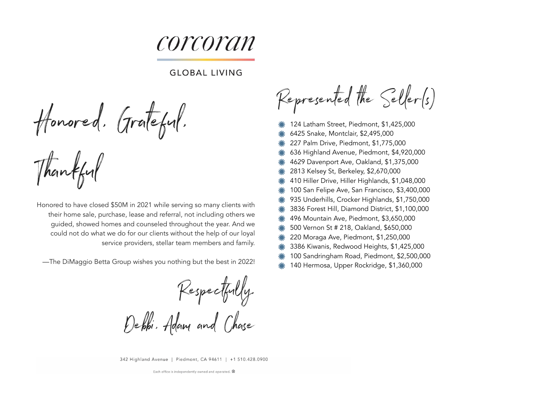corcoran

## **GLOBAL LIVING**

Honored, Grateful,

Thankful

Honored to have closed \$50M in 2021 while serving so many clients with their home sale, purchase, lease and referral, not including others we guided, showed homes and counseled throughout the year. And we could not do what we do for our clients without the help of our loyal service providers, stellar team members and family.

—The DiMaggio Betta Group wishes you nothing but the best in 2022!

Respectfully, Debbi, Adam and Chase

342 Highland Avenue | Piedmont, CA 94611 | +1 510.428.0900

Each office is independently owned and operated.

Represented the Seller(s)

- 124 Latham Street, Piedmont, \$1,425,000
- 6425 Snake, Montclair, \$2,495,000
- 227 Palm Drive, Piedmont, \$1,775,000
- 636 Highland Avenue, Piedmont, \$4,920,000
- 4629 Davenport Ave, Oakland, \$1,375,000
- 2813 Kelsey St, Berkeley, \$2,670,000
- 410 Hiller Drive, Hiller Highlands, \$1,048,000
- 100 San Felipe Ave, San Francisco, \$3,400,000
- 935 Underhills, Crocker Highlands, \$1,750,000
- 3836 Forest Hill, Diamond District, \$1,100,000
- 496 Mountain Ave, Piedmont, \$3,650,000
- 500 Vernon St # 218, Oakland, \$650,000
- 220 Moraga Ave, Piedmont, \$1,250,000
- 3386 Kiwanis, Redwood Heights, \$1,425,000
- 100 Sandringham Road, Piedmont, \$2,500,000
- 140 Hermosa, Upper Rockridge, \$1,360,000